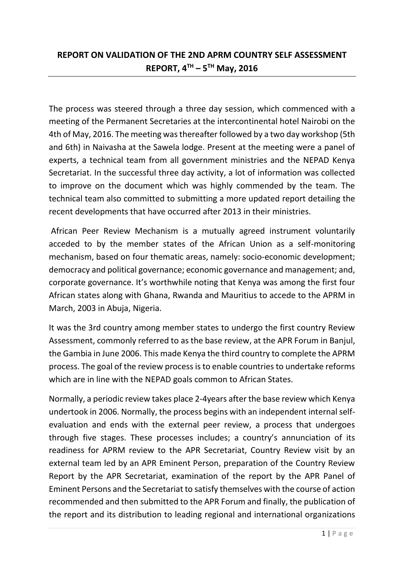## **REPORT ON VALIDATION OF THE 2ND APRM COUNTRY SELF ASSESSMENT REPORT, 4TH – 5 TH May, 2016**

The process was steered through a three day session, which commenced with a meeting of the Permanent Secretaries at the intercontinental hotel Nairobi on the 4th of May, 2016. The meeting was thereafter followed by a two day workshop (5th and 6th) in Naivasha at the Sawela lodge. Present at the meeting were a panel of experts, a technical team from all government ministries and the NEPAD Kenya Secretariat. In the successful three day activity, a lot of information was collected to improve on the document which was highly commended by the team. The technical team also committed to submitting a more updated report detailing the recent developments that have occurred after 2013 in their ministries.

African Peer Review Mechanism is a mutually agreed instrument voluntarily acceded to by the member states of the African Union as a self-monitoring mechanism, based on four thematic areas, namely: socio-economic development; democracy and political governance; economic governance and management; and, corporate governance. It's worthwhile noting that Kenya was among the first four African states along with Ghana, Rwanda and Mauritius to accede to the APRM in March, 2003 in Abuja, Nigeria.

It was the 3rd country among member states to undergo the first country Review Assessment, commonly referred to as the base review, at the APR Forum in Banjul, the Gambia in June 2006. This made Kenya the third country to complete the APRM process. The goal of the review process is to enable countries to undertake reforms which are in line with the NEPAD goals common to African States.

Normally, a periodic review takes place 2-4years after the base review which Kenya undertook in 2006. Normally, the process begins with an independent internal selfevaluation and ends with the external peer review, a process that undergoes through five stages. These processes includes; a country's annunciation of its readiness for APRM review to the APR Secretariat, Country Review visit by an external team led by an APR Eminent Person, preparation of the Country Review Report by the APR Secretariat, examination of the report by the APR Panel of Eminent Persons and the Secretariat to satisfy themselves with the course of action recommended and then submitted to the APR Forum and finally, the publication of the report and its distribution to leading regional and international organizations